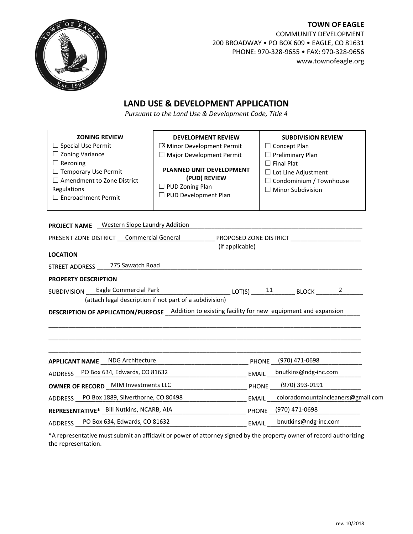

## **TOWN OF EAGLE** COMMUNITY DEVELOPMENT 200 BROADWAY • PO BOX 609 • EAGLE, CO 81631 PHONE: 970-328-9655 • FAX: 970-328-9656 www.townofeagle.org

## **LAND USE & DEVELOPMENT APPLICATION**

*Pursuant to the Land Use & Development Code, Title 4*

| <b>ZONING REVIEW</b>                                                                                                                        | <b>DEVELOPMENT REVIEW</b>                               |  | <b>SUBDIVISION REVIEW</b>      |  |  |  |
|---------------------------------------------------------------------------------------------------------------------------------------------|---------------------------------------------------------|--|--------------------------------|--|--|--|
| $\Box$ Special Use Permit                                                                                                                   | X Minor Development Permit                              |  | $\Box$ Concept Plan            |  |  |  |
| $\Box$ Zoning Variance                                                                                                                      | $\Box$ Major Development Permit                         |  | $\Box$ Preliminary Plan        |  |  |  |
| $\Box$ Rezoning                                                                                                                             |                                                         |  | $\Box$ Final Plat              |  |  |  |
| $\Box$ Temporary Use Permit                                                                                                                 | <b>PLANNED UNIT DEVELOPMENT</b>                         |  | $\Box$ Lot Line Adjustment     |  |  |  |
| $\Box$ Amendment to Zone District                                                                                                           | (PUD) REVIEW                                            |  | $\Box$ Condominium / Townhouse |  |  |  |
| Regulations                                                                                                                                 | $\Box$ PUD Zoning Plan                                  |  | $\Box$ Minor Subdivision       |  |  |  |
| □ Encroachment Permit                                                                                                                       | □ PUD Development Plan                                  |  |                                |  |  |  |
|                                                                                                                                             |                                                         |  |                                |  |  |  |
|                                                                                                                                             |                                                         |  |                                |  |  |  |
| <b>PROJECT NAME</b> Western Slope Laundry Addition                                                                                          |                                                         |  |                                |  |  |  |
| PRESENT ZONE DISTRICT Commercial General                                                                                                    |                                                         |  |                                |  |  |  |
| (if applicable)                                                                                                                             |                                                         |  |                                |  |  |  |
| <b>LOCATION</b>                                                                                                                             |                                                         |  |                                |  |  |  |
| STREET ADDRESS ______ 775 Sawatch Road                                                                                                      |                                                         |  |                                |  |  |  |
| <b>PROPERTY DESCRIPTION</b>                                                                                                                 |                                                         |  |                                |  |  |  |
| SUBDIVISION Eagle Commercial Park<br>__________________________ LOT(S) ______ <sup>11</sup> ___________ BLOCK ________ <sup>_2</sup> ______ |                                                         |  |                                |  |  |  |
|                                                                                                                                             | (attach legal description if not part of a subdivision) |  |                                |  |  |  |
|                                                                                                                                             |                                                         |  |                                |  |  |  |
| DESCRIPTION OF APPLICATION/PURPOSE Addition to existing facility for new equipment and expansion                                            |                                                         |  |                                |  |  |  |
|                                                                                                                                             |                                                         |  |                                |  |  |  |
|                                                                                                                                             |                                                         |  |                                |  |  |  |
|                                                                                                                                             |                                                         |  |                                |  |  |  |
| <b>APPLICANT NAME NDG Architecture</b><br>PHONE (970) 471-0698                                                                              |                                                         |  |                                |  |  |  |
| ADDRESS PO Box 634, Edwards, CO 81632                                                                                                       |                                                         |  | EMAIL bnutkins@ndg-inc.com     |  |  |  |
| <b>OWNER OF RECORD</b> MIM Investments LLC                                                                                                  |                                                         |  | PHONE (970) 393-0191           |  |  |  |
| ADDRESS PO Box 1889, Silverthorne, CO 80498 [10] EMAIL coloradomountaincleaners@gmail.com                                                   |                                                         |  |                                |  |  |  |
| REPRESENTATIVE* Bill Nutkins, NCARB, AIA<br>PHONE (970) 471-0698                                                                            |                                                         |  |                                |  |  |  |
| PO Box 634, Edwards, CO 81632<br><b>ADDRESS</b>                                                                                             |                                                         |  | bnutkins@ndg-inc.com           |  |  |  |

\*A representative must submit an affidavit or power of attorney signed by the property owner of record authorizing the representation.